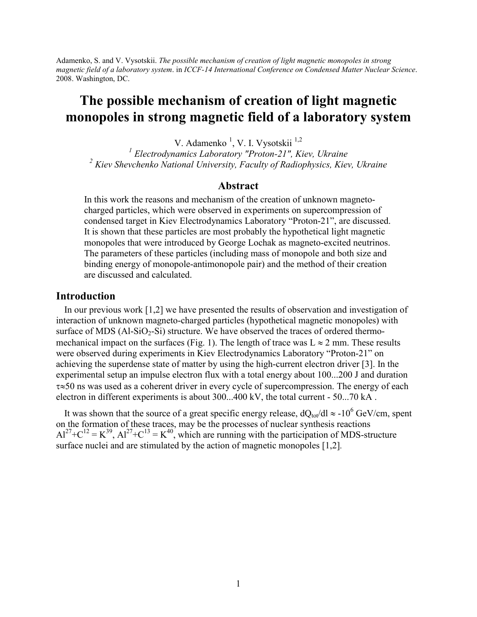Adamenko, S. and V. Vysotskii. *The possible mechanism of creation of light magnetic monopoles in strong magnetic field of a laboratory system*. in *ICCF-14 International Conference on Condensed Matter Nuclear Science*. 2008. Washington, DC.

# **The possible mechanism of creation of light magnetic monopoles in strong magnetic field of a laboratory system**

V. Adamenko<sup>1</sup>, V. I. Vysotskii<sup>1,2</sup>

*1 Electrodynamics Laboratory "Proton-21", Kiev, Ukraine <sup>2</sup> Kiev Shevchenko National University, Faculty of Radiophysics, Kiev, Ukraine*

## **Abstract**

In this work the reasons and mechanism of the creation of unknown magnetocharged particles, which were observed in experiments on supercompression of condensed target in Kiev Electrodynamics Laboratory "Proton-21", are discussed. It is shown that these particles are most probably the hypothetical light magnetic monopoles that were introduced by George Lochak as magneto-excited neutrinos. The parameters of these particles (including mass of monopole and both size and binding energy of monopole-antimonopole pair) and the method of their creation are discussed and calculated.

#### **Introduction**

In our previous work [1,2] we have presented the results of observation and investigation of interaction of unknown magneto-charged particles (hypothetical magnetic monopoles) with surface of MDS  $(Al-SiO<sub>2</sub>-Si)$  structure. We have observed the traces of ordered thermomechanical impact on the surfaces (Fig. 1). The length of trace was  $L \approx 2$  mm. These results were observed during experiments in Kiev Electrodynamics Laboratory "Proton-21" on achieving the superdense state of matter by using the high-current electron driver [3]. In the experimental setup an impulse electron flux with a total energy about 100...200 J and duration  $\tau \approx 50$  ns was used as a coherent driver in every cycle of supercompression. The energy of each electron in different experiments is about 300...400 kV, the total current - 50...70 kA .

It was shown that the source of a great specific energy release,  $dQ_{tot}/dl \approx -10^6$  GeV/cm, spent on the formation of these traces, may be the processes of nuclear synthesis reactions  $Al^{27}+C^{12} = K^{39}$ ,  $Al^{27}+C^{13} = K^{40}$ , which are running with the participation of MDS-structure surface nuclei and are stimulated by the action of magnetic monopoles [1,2]*.*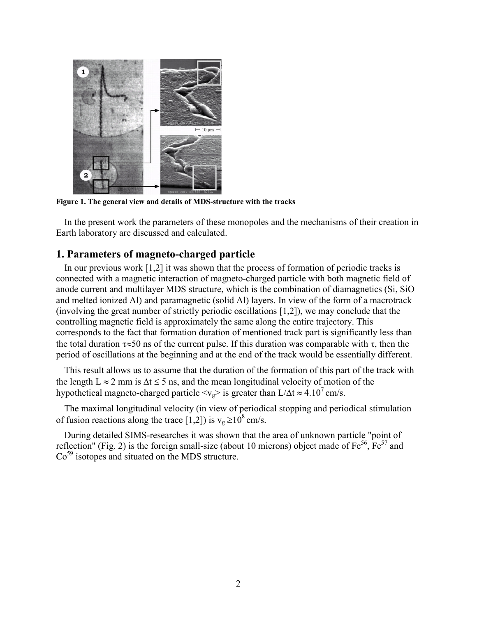

**Figure 1. The general view and details of MDS-structure with the tracks**

In the present work the parameters of these monopoles and the mechanisms of their creation in Earth laboratory are discussed and calculated.

# **1. Parameters of magneto-charged particle**

In our previous work [1,2] it was shown that the process of formation of periodic tracks is connected with a magnetic interaction of magneto-charged particle with both magnetic field of anode current and multilayer MDS structure, which is the combination of diamagnetics (Si, SiO and melted ionized Al) and paramagnetic (solid Al) layers. In view of the form of a macrotrack (involving the great number of strictly periodic oscillations [1,2]), we may conclude that the controlling magnetic field is approximately the same along the entire trajectory. This corresponds to the fact that formation duration of mentioned track part is significantly less than the total duration  $\tau \approx 50$  ns of the current pulse. If this duration was comparable with  $\tau$ , then the period of oscillations at the beginning and at the end of the track would be essentially different.

This result allows us to assume that the duration of the formation of this part of the track with the length  $L \approx 2$  mm is  $\Delta t \le 5$  ns, and the mean longitudinal velocity of motion of the hypothetical magneto-charged particle  $\langle v_{\rm g} \rangle$  is greater than L/ $\Delta t \approx 4.10^7$  cm/s.

The maximal longitudinal velocity (in view of periodical stopping and periodical stimulation of fusion reactions along the trace [1,2]) is  $v_g \ge 10^8$  cm/s.

During detailed SIMS-researches it was shown that the area of unknown particle "point of reflection" (Fig. 2) is the foreign small-size (about 10 microns) object made of  $Fe^{56}$ ,  $Fe^{57}$  and  $Co<sup>59</sup>$  isotopes and situated on the MDS structure.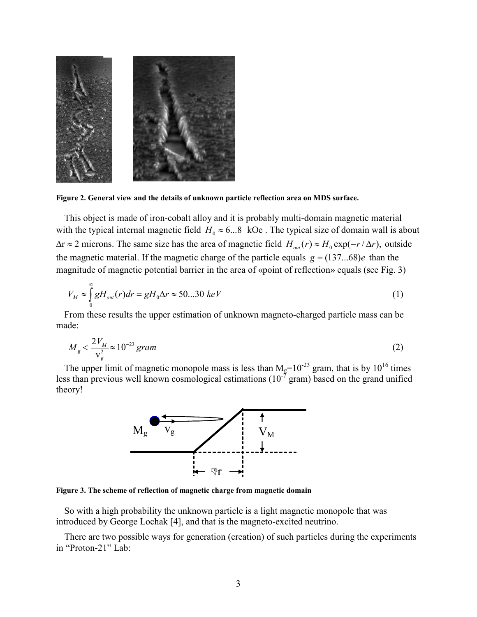

**Figure 2. General view and the details of unknown particle reflection area on MDS surface.**

This object is made of iron-cobalt alloy and it is probably multi-domain magnetic material with the typical internal magnetic field  $H_0 \approx 6...8$  kOe. The typical size of domain wall is about  $\Delta r \approx 2$  microns. The same size has the area of magnetic field  $H_{out}(r) \approx H_0 \exp(-r/\Delta r)$ , outside the magnetic material. If the magnetic charge of the particle equals  $g = (137...68)e$  than the magnitude of magnetic potential barrier in the area of «point of reflection» equals (see Fig. 3)

$$
V_M \approx \int_0^\infty g H_{out}(r) dr = g H_0 \Delta r \approx 50...30 \; keV \tag{1}
$$

From these results the upper estimation of unknown magneto-charged particle mass can be made:

$$
M_{g} < \frac{2V_{M}}{v_{g}^{2}} \approx 10^{-23} \text{ gram}
$$
 (2)

The upper limit of magnetic monopole mass is less than  $M_g=10^{-23}$  gram, that is by  $10^{16}$  times less than previous well known cosmological estimations  $(10^{-7} \text{ gram})$  based on the grand unified theory!



**Figure 3. The scheme of reflection of magnetic charge from magnetic domain**

So with a high probability the unknown particle is a light magnetic monopole that was introduced by George Lochak [4], and that is the magneto-excited neutrino.

There are two possible ways for generation (creation) of such particles during the experiments in "Proton-21" Lab: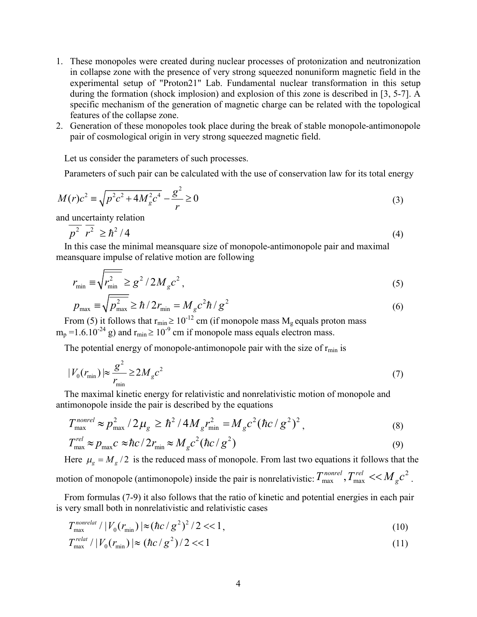- 1. These monopoles were created during nuclear processes of protonization and neutronization in collapse zone with the presence of very strong squeezed nonuniform magnetic field in the experimental setup of "Proton21" Lab. Fundamental nuclear transformation in this setup during the formation (shock implosion) and explosion of this zone is described in [3, 5-7]. A specific mechanism of the generation of magnetic charge can be related with the topological features of the collapse zone.
- 2. Generation of these monopoles took place during the break of stable monopole-antimonopole pair of cosmological origin in very strong squeezed magnetic field.

Let us consider the parameters of such processes.

Parameters of such pair can be calculated with the use of conservation law for its total energy

$$
M(r)c^{2} \equiv \sqrt{p^{2}c^{2} + 4M_{g}^{2}c^{4}} - \frac{g^{2}}{r} \ge 0
$$
\n(3)

and uncertainty relation

$$
p^2 \ r^2 \ge \hbar^2 / 4 \tag{4}
$$

In this case the minimal meansquare size of monopole-antimonopole pair and maximal meansquare impulse of relative motion are following

$$
r_{\min} \equiv \sqrt{r_{\min}^2} \ge g^2 / 2M_g c^2 \,,\tag{5}
$$

$$
p_{\text{max}} = \sqrt{p_{\text{max}}^2} \ge \hbar / 2r_{\text{min}} = M_g c^2 \hbar / g^2
$$
 (6)

From (5) it follows that  $r_{\text{min}} \ge 10^{-12}$  cm (if monopole mass  $M_g$  equals proton mass  $m_p = 1.6.10^{-24}$  g) and  $r_{min} \ge 10^{-9}$  cm if monopole mass equals electron mass.

The potential energy of monopole-antimonopole pair with the size of  $r_{min}$  is

$$
|V_0(r_{\min})| \approx \frac{g^2}{r_{\min}} \ge 2M_g c^2 \tag{7}
$$

The maximal kinetic energy for relativistic and nonrelativistic motion of monopole and antimonopole inside the pair is described by the equations

$$
T_{\text{max}}^{nonrel} \approx p_{\text{max}}^2 / 2\mu_g \ge \hbar^2 / 4M_g r_{\text{min}}^2 = M_g c^2 (\hbar c / g^2)^2, \tag{8}
$$

$$
T_{\text{max}}^{rel} \approx p_{\text{max}} c \approx \hbar c / 2r_{\text{min}} \approx M_g c^2 (\hbar c / g^2)
$$
 (9)

Here  $\mu_{\rm g} = M_{\rm g} / 2$  is the reduced mass of monopole. From last two equations it follows that the

motion of monopole (antimonopole) inside the pair is nonrelativistic:  $T_{\text{max}}^{nonrel}$ ,  $T_{\text{max}}^{rel}$  <<  $M_g c^2$ .

From formulas (7-9) it also follows that the ratio of kinetic and potential energies in each pair is very small both in nonrelativistic and relativistic cases

$$
T_{\max}^{\text{nonrelat}} / |V_0(r_{\min})| \approx (\hbar c / g^2)^2 / 2 < 1, \tag{10}
$$

$$
T_{\text{max}}^{\text{relat}} / |V_0(r_{\text{min}})| \approx (\hbar c / g^2) / 2 << 1 \tag{11}
$$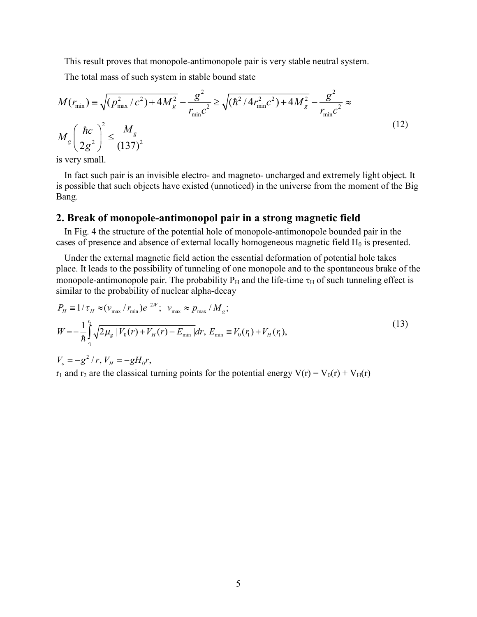This result proves that monopole-antimonopole pair is very stable neutral system.

The total mass of such system in stable bound state

$$
M(r_{\min}) = \sqrt{(p_{\max}^2/c^2) + 4M_g^2} - \frac{g^2}{r_{\min}c^2} \ge \sqrt{(\hbar^2/4r_{\min}^2c^2) + 4M_g^2} - \frac{g^2}{r_{\min}c^2} \approx
$$
  

$$
M_g \left(\frac{\hbar c}{2g^2}\right)^2 \le \frac{M_g}{(137)^2}
$$
 (12)

is very small.

In fact such pair is an invisible electro- and magneto- uncharged and extremely light object. It is possible that such objects have existed (unnoticed) in the universe from the moment of the Big Bang.

### **2. Break of monopole-antimonopol pair in a strong magnetic field**

In Fig. 4 the structure of the potential hole of monopole-antimonopole bounded pair in the cases of presence and absence of external locally homogeneous magnetic field  $H_0$  is presented.

Under the external magnetic field action the essential deformation of potential hole takes place. It leads to the possibility of tunneling of one monopole and to the spontaneous brake of the monopole-antimonopole pair. The probability  $P_H$  and the life-time  $\tau_H$  of such tunneling effect is similar to the probability of nuclear alpha-decay

$$
P_H = 1/\tau_H \approx (v_{\text{max}} / r_{\text{min}}) e^{-2W}; \quad v_{\text{max}} \approx p_{\text{max}} / M_g;
$$
  
\n
$$
W = -\frac{1}{\hbar} \int_{r_1}^{r_2} \sqrt{2\mu_g} |V_0(r) + V_H(r) - E_{\text{min}}| dr, E_{\text{min}} \equiv V_0(r_1) + V_H(r_1),
$$
\n
$$
V_o = -g^2 / r, V_H = -gH_0 r,
$$
\n(13)

 $r_1$  and  $r_2$  are the classical turning points for the potential energy  $V(r) = V_0(r) + V_H(r)$